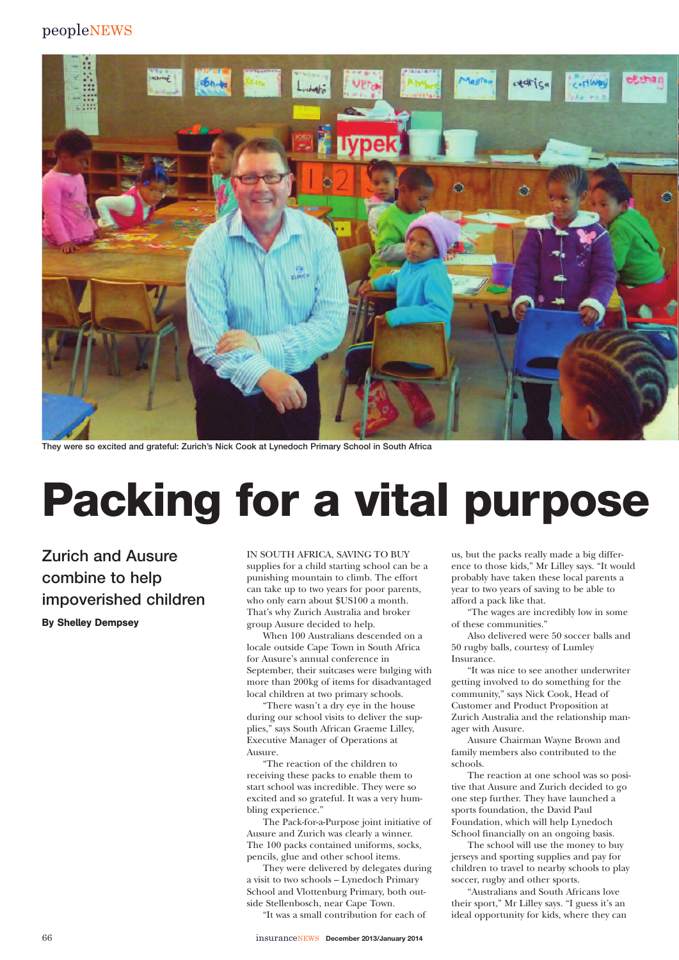## peopleNEWS



**They were so excited and grateful: Zurich's Nick Cook at Lynedoch Primary School in South Africa**

## **Packing for a vital purpose**

**Zurich and Ausure combine to help impoverished children By Shelley Dempsey**

## IN SOUTH AFRICA, SAVING TO BUY

supplies for a child starting school can be a punishing mountain to climb. The effort can take up to two years for poor parents, who only earn about \$US100 a month. That's why Zurich Australia and broker group Ausure decided to help.

When 100 Australians descended on a locale outside Cape Town in South Africa for Ausure's annual conference in September, their suitcases were bulging with more than 200kg of items for disadvantaged local children at two primary schools.

"There wasn't a dry eye in the house during our school visits to deliver the supplies," says South African Graeme Lilley, Executive Manager of Operations at Ausure.

"The reaction of the children to receiving these packs to enable them to start school was incredible. They were so excited and so grateful. It was a very humbling experience."

The Pack-for-a-Purpose joint initiative of Ausure and Zurich was clearly a winner. The 100 packs contained uniforms, socks, pencils, glue and other school items.

They were delivered by delegates during a visit to two schools – Lynedoch Primary School and Vlottenburg Primary, both outside Stellenbosch, near Cape Town.

"It was a small contribution for each of

us, but the packs really made a big difference to those kids," Mr Lilley says. "It would probably have taken these local parents a year to two years of saving to be able to afford a pack like that.

"The wages are incredibly low in some of these communities."

Also delivered were 50 soccer balls and 50 rugby balls, courtesy of Lumley Insurance.

"It was nice to see another underwriter getting involved to do something for the community," says Nick Cook, Head of Customer and Product Proposition at Zurich Australia and the relationship manager with Ausure.

Ausure Chairman Wayne Brown and family members also contributed to the schools.

The reaction at one school was so positive that Ausure and Zurich decided to go one step further. They have launched a sports foundation, the David Paul Foundation, which will help Lynedoch School financially on an ongoing basis.

The school will use the money to buy jerseys and sporting supplies and pay for children to travel to nearby schools to play soccer, rugby and other sports.

"Australians and South Africans love their sport," Mr Lilley says. "I guess it's an ideal opportunity for kids, where they can